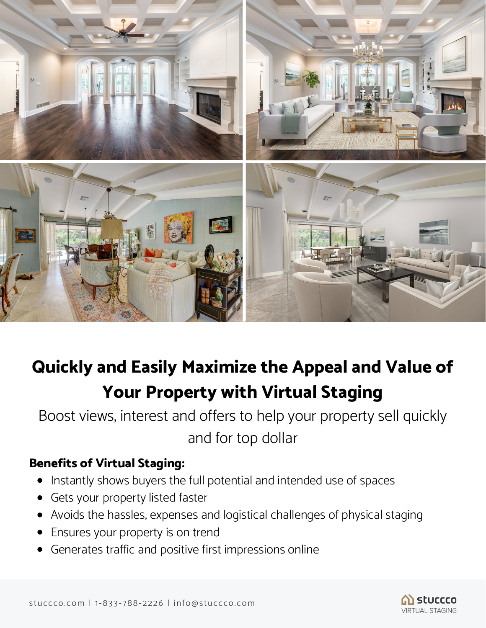

# **Quickly and Easily Maximize the Appeal and Value of Your Property with Virtual Staging**

Boost views, interest and offers to help your property sell quickly and for top dollar

### **Benefits of Virtual Staging:**

- Instantly shows buyers the full potential and intended use of spaces
- Gets your property listed faster
- Avoids the hassles, expenses and logistical challenges of physical staging
- Ensures your property is on trend
- Generates traffic and positive first impressions online